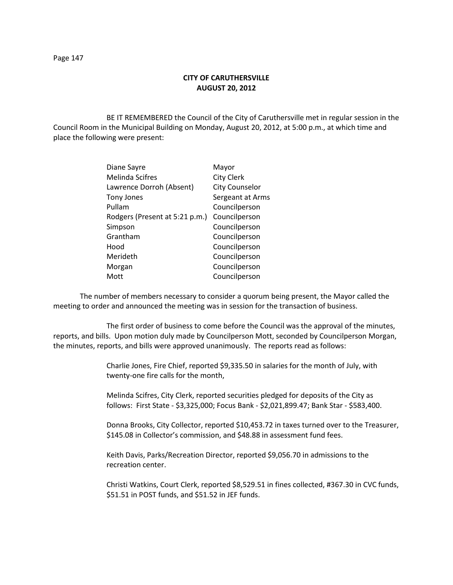## **CITY OF CARUTHERSVILLE AUGUST 20, 2012**

BE IT REMEMBERED the Council of the City of Caruthersville met in regular session in the Council Room in the Municipal Building on Monday, August 20, 2012, at 5:00 p.m., at which time and place the following were present:

| Diane Sayre                    | Mayor                 |
|--------------------------------|-----------------------|
| <b>Melinda Scifres</b>         | <b>City Clerk</b>     |
| Lawrence Dorroh (Absent)       | <b>City Counselor</b> |
| <b>Tony Jones</b>              | Sergeant at Arms      |
| Pullam                         | Councilperson         |
| Rodgers (Present at 5:21 p.m.) | Councilperson         |
| Simpson                        | Councilperson         |
| Grantham                       | Councilperson         |
| Hood                           | Councilperson         |
| Merideth                       | Councilperson         |
| Morgan                         | Councilperson         |
| Mott                           | Councilperson         |
|                                |                       |

The number of members necessary to consider a quorum being present, the Mayor called the meeting to order and announced the meeting was in session for the transaction of business.

The first order of business to come before the Council was the approval of the minutes, reports, and bills. Upon motion duly made by Councilperson Mott, seconded by Councilperson Morgan, the minutes, reports, and bills were approved unanimously. The reports read as follows:

> Charlie Jones, Fire Chief, reported \$9,335.50 in salaries for the month of July, with twenty-one fire calls for the month,

Melinda Scifres, City Clerk, reported securities pledged for deposits of the City as follows: First State - \$3,325,000; Focus Bank - \$2,021,899.47; Bank Star - \$583,400.

Donna Brooks, City Collector, reported \$10,453.72 in taxes turned over to the Treasurer, \$145.08 in Collector's commission, and \$48.88 in assessment fund fees.

Keith Davis, Parks/Recreation Director, reported \$9,056.70 in admissions to the recreation center.

Christi Watkins, Court Clerk, reported \$8,529.51 in fines collected, #367.30 in CVC funds, \$51.51 in POST funds, and \$51.52 in JEF funds.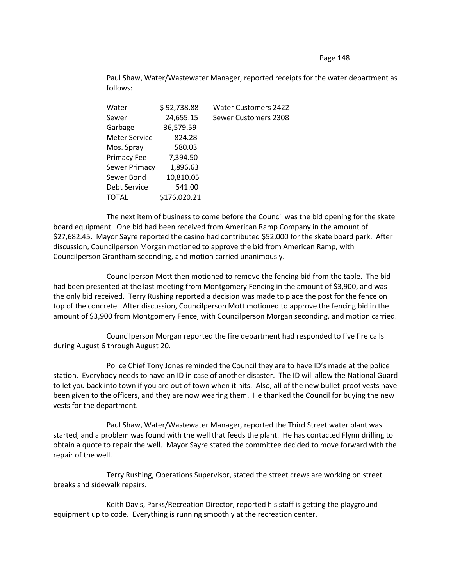## Page 148

Paul Shaw, Water/Wastewater Manager, reported receipts for the water department as follows:

| Water         | \$92,738.88  | <b>Water Customers 2422</b> |
|---------------|--------------|-----------------------------|
| Sewer         | 24,655.15    | Sewer Customers 2308        |
| Garbage       | 36,579.59    |                             |
| Meter Service | 824.28       |                             |
| Mos. Spray    | 580.03       |                             |
| Primacy Fee   | 7,394.50     |                             |
| Sewer Primacy | 1,896.63     |                             |
| Sewer Bond    | 10,810.05    |                             |
| Debt Service  | 541.00       |                             |
| TOTAL         | \$176,020.21 |                             |
|               |              |                             |

The next item of business to come before the Council was the bid opening for the skate board equipment. One bid had been received from American Ramp Company in the amount of \$27,682.45. Mayor Sayre reported the casino had contributed \$52,000 for the skate board park. After discussion, Councilperson Morgan motioned to approve the bid from American Ramp, with Councilperson Grantham seconding, and motion carried unanimously.

Councilperson Mott then motioned to remove the fencing bid from the table. The bid had been presented at the last meeting from Montgomery Fencing in the amount of \$3,900, and was the only bid received. Terry Rushing reported a decision was made to place the post for the fence on top of the concrete. After discussion, Councilperson Mott motioned to approve the fencing bid in the amount of \$3,900 from Montgomery Fence, with Councilperson Morgan seconding, and motion carried.

Councilperson Morgan reported the fire department had responded to five fire calls during August 6 through August 20.

Police Chief Tony Jones reminded the Council they are to have ID's made at the police station. Everybody needs to have an ID in case of another disaster. The ID will allow the National Guard to let you back into town if you are out of town when it hits. Also, all of the new bullet-proof vests have been given to the officers, and they are now wearing them. He thanked the Council for buying the new vests for the department.

Paul Shaw, Water/Wastewater Manager, reported the Third Street water plant was started, and a problem was found with the well that feeds the plant. He has contacted Flynn drilling to obtain a quote to repair the well. Mayor Sayre stated the committee decided to move forward with the repair of the well.

Terry Rushing, Operations Supervisor, stated the street crews are working on street breaks and sidewalk repairs.

Keith Davis, Parks/Recreation Director, reported his staff is getting the playground equipment up to code. Everything is running smoothly at the recreation center.